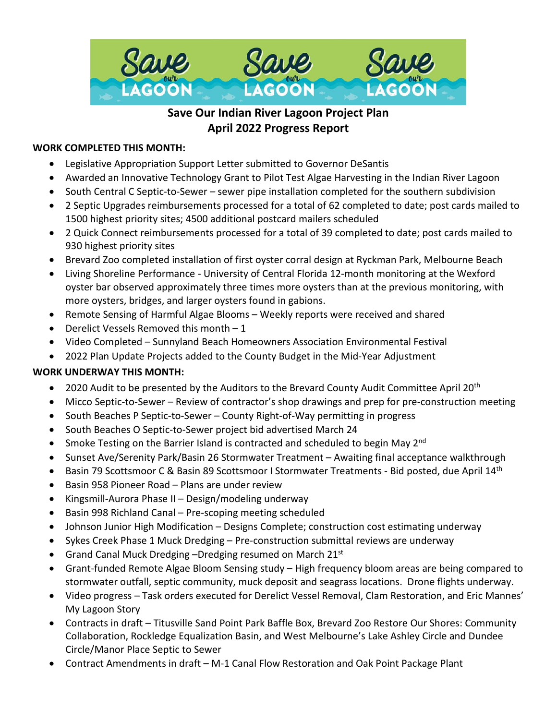

# **Save Our Indian River Lagoon Project Plan April 2022 Progress Report**

#### **WORK COMPLETED THIS MONTH:**

- Legislative Appropriation Support Letter submitted to Governor DeSantis
- Awarded an Innovative Technology Grant to Pilot Test Algae Harvesting in the Indian River Lagoon
- South Central C Septic-to-Sewer sewer pipe installation completed for the southern subdivision
- 2 Septic Upgrades reimbursements processed for a total of 62 completed to date; post cards mailed to 1500 highest priority sites; 4500 additional postcard mailers scheduled
- 2 Quick Connect reimbursements processed for a total of 39 completed to date; post cards mailed to 930 highest priority sites
- Brevard Zoo completed installation of first oyster corral design at Ryckman Park, Melbourne Beach
- Living Shoreline Performance University of Central Florida 12-month monitoring at the Wexford oyster bar observed approximately three times more oysters than at the previous monitoring, with more oysters, bridges, and larger oysters found in gabions.
- Remote Sensing of Harmful Algae Blooms Weekly reports were received and shared
- Derelict Vessels Removed this month  $-1$
- Video Completed Sunnyland Beach Homeowners Association Environmental Festival
- 2022 Plan Update Projects added to the County Budget in the Mid-Year Adjustment

#### **WORK UNDERWAY THIS MONTH:**

- 2020 Audit to be presented by the Auditors to the Brevard County Audit Committee April 20<sup>th</sup>
- Micco Septic-to-Sewer Review of contractor's shop drawings and prep for pre-construction meeting
- South Beaches P Septic-to-Sewer County Right-of-Way permitting in progress
- South Beaches O Septic-to-Sewer project bid advertised March 24
- Smoke Testing on the Barrier Island is contracted and scheduled to begin May 2<sup>nd</sup>
- Sunset Ave/Serenity Park/Basin 26 Stormwater Treatment Awaiting final acceptance walkthrough
- Basin 79 Scottsmoor C & Basin 89 Scottsmoor I Stormwater Treatments Bid posted, due April 14th
- Basin 958 Pioneer Road Plans are under review
- Kingsmill-Aurora Phase II Design/modeling underway
- Basin 998 Richland Canal Pre-scoping meeting scheduled
- Johnson Junior High Modification Designs Complete; construction cost estimating underway
- Sykes Creek Phase 1 Muck Dredging Pre-construction submittal reviews are underway
- Grand Canal Muck Dredging -Dredging resumed on March 21st
- Grant-funded Remote Algae Bloom Sensing study High frequency bloom areas are being compared to stormwater outfall, septic community, muck deposit and seagrass locations. Drone flights underway.
- Video progress Task orders executed for Derelict Vessel Removal, Clam Restoration, and Eric Mannes' My Lagoon Story
- Contracts in draft Titusville Sand Point Park Baffle Box, Brevard Zoo Restore Our Shores: Community Collaboration, Rockledge Equalization Basin, and West Melbourne's Lake Ashley Circle and Dundee Circle/Manor Place Septic to Sewer
- Contract Amendments in draft M-1 Canal Flow Restoration and Oak Point Package Plant